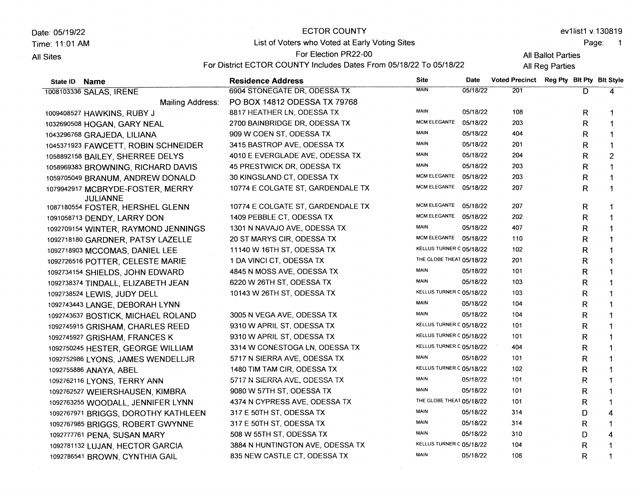Date:05119122 Time: 11:01 AM **All Sites** 

#### ECTOR COUNTY

### List of Voters who Voted at Early Voting Sites

#### For Election PR22-00

For District ECTOR COUNTY Includes Dates From 05/18/22 To 05/18/22

evllistl v.130819

All Ballot Parties **All Reg Parties** 

Page: 1

4 1 1

D R R

MAIN 05/18/22 KELLUS TURNER C 05/18/22 MAIN 05/18/22 310 104 108

State lD Name Residence Address Site<br>
ROM STONECATE DR ODESSA TX Date Voted Precinct Reg Pty Blt Pty Blt Style 1008103336 SALAS, IRENE Mailing Address: 100e408527 HAWKINS, RUBY J 10326s0508 HOGAN, GARY NEAL 10432e6768 GRAJEDA, LILIANA <sup>104537</sup>1s23 FAWCETT, ROBIN SCHNEIDER 10588e2158 BAILEY, SHERREE DELYS 1058e6s383 BROWNING, RICHARD DAVIS 105e70504s BRANUM, ANDREW DONALD 1079942917 MCBRYDE-FOSTER, MERRY JULIANNE 1087180554 FOSTER, HERSHEL GLENN 10e1058713 DENDY, LARRY DON 1092709154 WINTER, RAYMOND JENNINGS 10s2718180 GARDNER, PATSY LAZELLE 1092718903 MCCOMAS, DANIEL LEE 1oe2726516 POTTER, CELESTE MARIE 1092734154 SHIELDS, JOHN EDWARD 1092738374 TINDALL, ELIZABETH JEAN 1oe2738524 LEWIS, JUDY DELL 1092743443 LANGE, DEBORAH LYNN 1oe27 43637 BOSTICK, MICHAEL ROLAND 1os2745e15 GRISHAM, CHARLES REED 't0e2745s27 GRISHAM, FRANCES K 1092750245 HESTER, GEORGE WILLIAM 10s2752s86 LYONS, JAMES WENDELLJR 10e2755886 ANAYA, ABEL 1oe2762116 LYONS, TERRY ANN 1092762527 WEIERSHAUSEN, KIMBRA 10e2763255 WOODALL, JENNIFER LYNN 1092767971 BRIGGS, DOROTHY KATHLEEN 10s2767e85 BRIGGS, ROBERT GWYNNE 6904 STONEGATE DR. ODESSA TX PO BOX 14812 oDESSA TX 79768 8817 HEATHER LN, ODESSA TX 27OO BAINBRIDGE DR, ODESSA TX 909 W COEN ST, ODESSA TX 3415 BASTROP AVE, ODESSA TX 4O1O E EVERGLADE AVE, ODESSA TX 45 PRESTWICK DR, ODESSA TX 30 KINGSLAND CT, ODESSA TX 10774 E COLGATE ST, GARDENDALE TX 10774 E COLGATE ST, GARDENDALE TX 1409 PEBBLE CT, ODESSA TX 1301 N NAVAJOAVE, ODESSATX 20 ST MARYS CIR, ODESSA TX <sup>1</sup>1 140 W 16TH ST, ODESSA TX 1 DA VINCI CT, ODESSA TX 4845 N MOSS AVE, ODESSA TX 6220W 26TH ST, ODESSA TX 10143 W 26TH ST, ODESSA TX 3OO5 N VEGA AVE, ODESSA TX 9310 W APRIL ST, ODESSA TX 9310 W APRIL ST, ODESSA TX 3314 W CONESTOGA LN, ODESSA TX 5717 N SIERRA AVE, ODESSA TX 1480 TIM TAM CIR, ODESSA TX 5717 N SIERRA AVE, ODESSA TX 9O8O W 57TH ST, ODESSA TX 4374 N CYPRESS AVE, ODESSA TX 317 E 5OTH ST, ODESSA TX 317 E sOTH ST, ODESSA TX 05/18/22 201 D 4 1 1 1 1 2 1 1 1 1 1 1 1 I 1 1 1 1 ,| 1 1 1 1 1 1 1 1 1 4 1 R R R R R R R R R R R R R R R R R R R R R R R R R R R D R MAIN MCM ELEGANTE MAIN MAIN MAIN MAIN MCM ELEGANTE MCM ELEGANTE 05/18/22 05/18/22 05/18/22 05/18/22 05/18/22 05/18/22 05/18/22 05/18/22 MCM ELEGANTE 05/18/22 MCM ELEGANTE 05/18/22 MAIN 05/18/22 MCM ELEGANTE 05/18/22 KELLUS TURNER C 05/18/22 THE GLOBE THEAT 05/18/22 MAIN 05/18/22 MAIN 05/18/22 KELLUS TURNER C 05/18/22 MAIN 05/18/22 MAIN 05/18/22 KELLUS TURNER C 05/18/22 KELLUS TURNER C 05/18/22 KELLUS TURNER C 05/18/22 MAIN 05/18/22 KELLUS TURNER C 05/18/22 MAIN 05/18/22 MAIN 05/18/22 THE GLOBE THEAT 05/18/22 MAIN 05/18/22 MAIN 05/18/22 108 203 404 201 204 203 203 207 207 202 407 110 102 20'l 101 103 103 104 104 101 101 404 101 102 't0t 101 101 314 314

1092781132 LUJAN, HECTOR GARCIA 10e2786541 BROWN, CYNTHIA GAIL

't0e2777761 PENA, SUSAN MARY

3884 N HUNTINGTON AVE, ODESSA TX 835 NEW CASTLE CT, ODESSA TX

508 W 55TH ST, ODESSA TX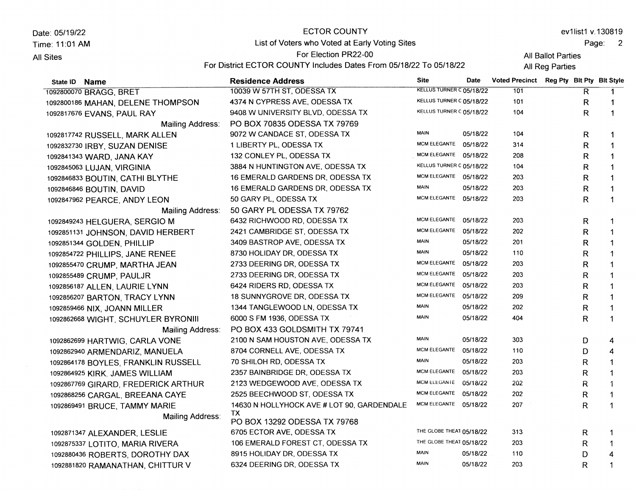| ECTOR COUNTY<br>Date: 05/19/22 |                                                                    |                          | ev1list1 v.130819 |                                          |                    |       |  |  |
|--------------------------------|--------------------------------------------------------------------|--------------------------|-------------------|------------------------------------------|--------------------|-------|--|--|
| Time: 11:01 AM                 | List of Voters who Voted at Early Voting Sites                     |                          |                   |                                          |                    | Page: |  |  |
| All Sites                      | For Election PR22-00                                               |                          |                   |                                          | All Ballot Parties |       |  |  |
|                                | For District ECTOR COUNTY Includes Dates From 05/18/22 To 05/18/22 |                          |                   |                                          | All Reg Parties    |       |  |  |
| State ID Name                  | <b>Residence Address</b>                                           | <b>Site</b>              | <b>Date</b>       | Voted Precinct Reg Pty Blt Pty Blt Style |                    |       |  |  |
| 1092800070 BRAGG, BRET         | 10039 W 57TH ST, ODESSA TX                                         | KELLUS TURNER C 05/18/22 |                   | 101                                      |                    |       |  |  |

| 1092800070 BRAGG, BRET              | 10039 W 57TH ST, ODESSA TX                 | RELLUS TURNER C 05/18/22         |          | 101 | R. |                |
|-------------------------------------|--------------------------------------------|----------------------------------|----------|-----|----|----------------|
| 1092800186 MAHAN, DELENE THOMPSON   | 4374 N CYPRESS AVE, ODESSA TX              | KELLUS TURNER C 05/18/22         |          | 101 | R  | $\mathbf 1$    |
| 1092817676 EVANS, PAUL RAY          | 9408 W UNIVERSITY BLVD, ODESSA TX          | KELLUS TURNER C 05/18/22         |          | 104 | R  | $\mathbf 1$    |
| Mailing Address:                    | PO BOX 70835 ODESSA TX 79769               |                                  |          |     |    |                |
| 1092817742 RUSSELL, MARK ALLEN      | 9072 W CANDACE ST, ODESSA TX               | <b>MAIN</b>                      | 05/18/22 | 104 | R  | $\mathbf 1$    |
| 1092832730 IRBY, SUZAN DENISE       | 1 LIBERTY PL, ODESSA TX                    | <b>MCM ELEGANTE</b>              | 05/18/22 | 314 | R  | $\mathbf 1$    |
| 1092841343 WARD, JANA KAY           | 132 CONLEY PL, ODESSA TX                   | MCM ELEGANTE 05/18/22            |          | 208 | R  | $\overline{1}$ |
| 1092845063 LUJAN, VIRGINIA          | 3884 N HUNTINGTON AVE, ODESSA TX           | KELLUS TURNER C 05/18/22         |          | 104 | R. | $\mathbf 1$    |
| 1092846833 BOUTIN, CATHI BLYTHE     | 16 EMERALD GARDENS DR, ODESSA TX           | MCM ELEGANTE 05/18/22            |          | 203 | R  | $\mathbf{1}$   |
| 1092846846 BOUTIN, DAVID            | 16 EMERALD GARDENS DR, ODESSA TX           | <b>MAIN</b>                      | 05/18/22 | 203 | R  | $\overline{1}$ |
| 1092847962 PEARCE, ANDY LEON        | 50 GARY PL, ODESSA TX                      | MCM ELEGANTE 05/18/22            |          | 203 | R  | $\mathbf 1$    |
| Mailing Address:                    | 50 GARY PL ODESSA TX 79762                 |                                  |          |     |    |                |
| 1092849243 HELGUERA, SERGIO M       | 6432 RICHWOOD RD, ODESSA TX                | MCM ELEGANTE                     | 05/18/22 | 203 | R  | $\mathbf 1$    |
| 1092851131 JOHNSON, DAVID HERBERT   | 2421 CAMBRIDGE ST, ODESSA TX               | <b>MCM ELEGANTE</b>              | 05/18/22 | 202 | R  | $\mathbf 1$    |
| 1092851344 GOLDEN, PHILLIP          | 3409 BASTROP AVE, ODESSA TX                | <b>MAIN</b>                      | 05/18/22 | 201 | R  | $\mathbf 1$    |
| 1092854722 PHILLIPS, JANE RENEE     | 8730 HOLIDAY DR, ODESSA TX                 | <b>MAIN</b>                      | 05/18/22 | 110 | R  | $\mathbf 1$    |
| 1092855470 CRUMP, MARTHA JEAN       | 2733 DEERING DR, ODESSA TX                 | <b>MCM ELEGANTE</b>              | 05/18/22 | 203 | R  | $\mathbf 1$    |
| 1092855489 CRUMP, PAULJR            | 2733 DEERING DR, ODESSA TX                 | <b>MCM ELEGANTE</b>              | 05/18/22 | 203 | R  | $\mathbf 1$    |
| 1092856187 ALLEN, LAURIE LYNN       | 6424 RIDERS RD, ODESSA TX                  | <b>MCM ELEGANTE</b>              | 05/18/22 | 203 | R  | $\mathbf{1}$   |
| 1092856207 BARTON, TRACY LYNN       | 18 SUNNYGROVE DR, ODESSA TX                | <b>MCM ELEGANTE</b>              | 05/18/22 | 209 | R  | $\mathbf{1}$   |
| 1092859466 NIX, JOANN MILLER        | 1344 TANGLEWOOD LN, ODESSA TX              | MAIN                             | 05/18/22 | 202 | R  | $\mathbf 1$    |
| 1092862668 WIGHT, SCHUYLER BYRONIII | 6000 S FM 1936, ODESSA TX                  | <b>MAIN</b>                      | 05/18/22 | 404 | R  | $\mathbf 1$    |
| Mailing Address:                    | PO BOX 433 GOLDSMITH TX 79741              |                                  |          |     |    |                |
| 1092862699 HARTWIG, CARLA VONE      | 2100 N SAM HOUSTON AVE, ODESSA TX          | <b>MAIN</b>                      | 05/18/22 | 303 | D  | 4              |
| 1092862940 ARMENDARIZ, MANUELA      | 8704 CORNELL AVE, ODESSA TX                | MCM ELEGANTE                     | 05/18/22 | 110 | D  | 4              |
| 1092864178 BOYLES, FRANKLIN RUSSELL | 70 SHILOH RD, ODESSA TX                    | <b>MAIN</b>                      | 05/18/22 | 203 | R  | $\mathbf{1}$   |
| 1092864925 KIRK, JAMES WILLIAM      | 2357 BAINBRIDGE DR, ODESSA TX              | <b>MCM ELEGANTE</b>              | 05/18/22 | 203 | R  | $\mathbf{1}$   |
| 1092867769 GIRARD, FREDERICK ARTHUR | 2123 WEDGEWOOD AVE, ODESSA TX              | MCM ELEGANTE 05/18/22            |          | 202 | R  | $\mathbf{1}$   |
| 1092868256 CARGAL, BREEANA CAYE     | 2525 BEECHWOOD ST, ODESSA TX               | MCM ELEGANTE 05/18/22            |          | 202 | R  | $\mathbf 1$    |
| 1092869491 BRUCE, TAMMY MARIE       | 14630 N HOLLYHOCK AVE # LOT 90, GARDENDALE | MCM ELEGANTE 05/18/22            |          | 207 | R. | 1              |
| Mailing Address:                    | TX                                         |                                  |          |     |    |                |
|                                     | PO BOX 13292 ODESSA TX 79768               |                                  |          |     |    |                |
| 1092871347 ALEXANDER, LESLIE        | 6705 ECTOR AVE, ODESSA TX                  | THE GLOBE THEAT 05/18/22         |          | 313 | R  | $\mathbf 1$    |
| 1092875337 LOTITO, MARIA RIVERA     | 106 EMERALD FOREST CT, ODESSA TX           | THE GLOBE THEAT 05/18/22<br>MAIN |          | 203 | R  | $\mathbf 1$    |
| 1092880436 ROBERTS, DOROTHY DAX     | 8915 HOLIDAY DR, ODESSA TX                 | <b>MAIN</b>                      | 05/18/22 | 110 | D  | 4              |
| 1092881820 RAMANATHAN, CHITTUR V    | 6324 DEERING DR, ODESSA TX                 |                                  | 05/18/22 | 203 | R  | $\mathbf{1}$   |
|                                     |                                            |                                  |          |     |    |                |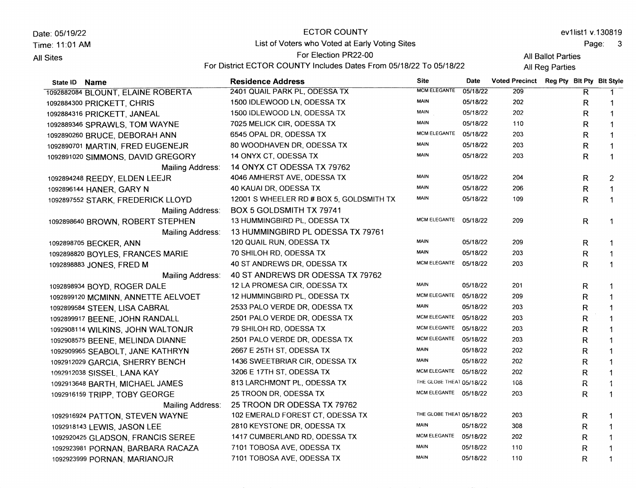| Date: 05/19/22<br>Time: 11:01 AM<br>All Sites |                                   | ECTOR COUNTY                                                                                                                        |                     |          |                       |  |    | ev1list1 v.130819         |
|-----------------------------------------------|-----------------------------------|-------------------------------------------------------------------------------------------------------------------------------------|---------------------|----------|-----------------------|--|----|---------------------------|
|                                               |                                   | List of Voters who Voted at Early Voting Sites                                                                                      |                     |          | Page:                 |  |    |                           |
|                                               |                                   | For Election PR22-00<br>All Ballot Parties<br>For District ECTOR COUNTY Includes Dates From 05/18/22 To 05/18/22<br>All Reg Parties |                     |          |                       |  |    |                           |
|                                               | State ID Name                     | <b>Residence Address</b>                                                                                                            | <b>Site</b>         | Date     | <b>Voted Precinct</b> |  |    | Reg Pty Bit Pty Bit Style |
|                                               | 1092882084 BLOUNT, ELAINE ROBERTA | 2401 QUAIL PARK PL, ODESSA TX                                                                                                       | <b>MCM ELEGANTE</b> | 05/18/22 | 209                   |  | R. | -1                        |
|                                               | 1092884300 PRICKETT, CHRIS        | 1500 IDLEWOOD LN, ODESSA TX                                                                                                         | <b>MAIN</b>         | 05/18/22 | 202                   |  | R. |                           |
|                                               | 1092884316 PRICKETT, JANEAL       | 1500 IDLEWOOD LN, ODESSA TX                                                                                                         | <b>MAIN</b>         | 05/18/22 | 202                   |  | R. |                           |
|                                               | 1092889346 SPRAWLS, TOM WAYNE     | 7025 MELICK CIR, ODESSA TX                                                                                                          | <b>MAIN</b>         | 05/18/22 | 110                   |  | R. |                           |
|                                               | 1092890260 BRUCE, DEBORAH ANN     | 6545 OPAL DR. ODESSA TX                                                                                                             | MCM ELEGANTE        | 05/18/22 | 203                   |  | R. |                           |
|                                               |                                   |                                                                                                                                     | .                   | -------- |                       |  |    |                           |

| 1092884300 PRICKETT, CHRIS         | 1500 IDLEWOOD LN, ODESSA TX              | <b>MAIN</b>              | 05/18/22 | 202 | R  | 1              |
|------------------------------------|------------------------------------------|--------------------------|----------|-----|----|----------------|
| 1092884316 PRICKETT, JANEAL        | 1500 IDLEWOOD LN, ODESSA TX              | MAIN                     | 05/18/22 | 202 | R  |                |
| 1092889346 SPRAWLS, TOM WAYNE      | 7025 MELICK CIR, ODESSA TX               | <b>MAIN</b>              | 05/18/22 | 110 | R  | $\mathbf{1}$   |
| 1092890260 BRUCE, DEBORAH ANN      | 6545 OPAL DR, ODESSA TX                  | <b>MCM ELEGANTE</b>      | 05/18/22 | 203 | R  | $\mathbf 1$    |
| 1092890701 MARTIN, FRED EUGENEJR   | 80 WOODHAVEN DR, ODESSA TX               | <b>MAIN</b>              | 05/18/22 | 203 | R  | $\mathbf{1}$   |
| 1092891020 SIMMONS, DAVID GREGORY  | 14 ONYX CT, ODESSA TX                    | <b>MAIN</b>              | 05/18/22 | 203 | R  | $\mathbf 1$    |
| Mailing Address:                   | 14 ONYX CT ODESSA TX 79762               |                          |          |     |    |                |
| 1092894248 REEDY, ELDEN LEEJR      | 4046 AMHERST AVE, ODESSA TX              | MAIN                     | 05/18/22 | 204 | R  | $\overline{2}$ |
| 1092896144 HANER, GARY N           | 40 KAUAI DR, ODESSA TX                   | <b>MAIN</b>              | 05/18/22 | 206 | R  | $\mathbf{1}$   |
| 1092897552 STARK, FREDERICK LLOYD  | 12001 S WHEELER RD # BOX 5, GOLDSMITH TX | <b>MAIN</b>              | 05/18/22 | 109 | R  | $\mathbf 1$    |
| Mailing Address:                   | BOX 5 GOLDSMITH TX 79741                 |                          |          |     |    |                |
| 1092898640 BROWN, ROBERT STEPHEN   | 13 HUMMINGBIRD PL, ODESSA TX             | MCM ELEGANTE 05/18/22    |          | 209 | R  | 1              |
| Mailing Address:                   | 13 HUMMINGBIRD PL ODESSA TX 79761        |                          |          |     |    |                |
| 1092898705 BECKER, ANN             | 120 QUAIL RUN, ODESSA TX                 | <b>MAIN</b>              | 05/18/22 | 209 | R  | 1              |
| 1092898820 BOYLES, FRANCES MARIE   | 70 SHILOH RD, ODESSA TX                  | <b>MAIN</b>              | 05/18/22 | 203 | R  | $\mathbf{1}$   |
| 1092898883 JONES, FRED M           | 40 ST ANDREWS DR, ODESSA TX              | <b>MCM ELEGANTE</b>      | 05/18/22 | 203 | R  | 1              |
| Mailing Address:                   | 40 ST ANDREWS DR ODESSA TX 79762         |                          |          |     |    |                |
| 1092898934 BOYD, ROGER DALE        | 12 LA PROMESA CIR, ODESSA TX             | <b>MAIN</b>              | 05/18/22 | 201 | R  |                |
| 1092899120 MCMINN, ANNETTE AELVOET | 12 HUMMINGBIRD PL, ODESSA TX             | <b>MCM ELEGANTE</b>      | 05/18/22 | 209 | R  |                |
| 1092899584 STEEN, LISA CABRAL      | 2533 PALO VERDE DR, ODESSA TX            | MAIN                     | 05/18/22 | 203 | R  |                |
| 1092899917 BEENE, JOHN RANDALL     | 2501 PALO VERDE DR, ODESSA TX            | <b>MCM ELEGANTE</b>      | 05/18/22 | 203 | R  |                |
| 1092908114 WILKINS, JOHN WALTONJR  | 79 SHILOH RD, ODESSA TX                  | <b>MCM ELEGANTE</b>      | 05/18/22 | 203 | R  |                |
| 1092908575 BEENE, MELINDA DIANNE   | 2501 PALO VERDE DR, ODESSA TX            | <b>MCM ELEGANTE</b>      | 05/18/22 | 203 | R  |                |
| 1092909965 SEABOLT, JANE KATHRYN   | 2667 E 25TH ST, ODESSA TX                | MAIN                     | 05/18/22 | 202 | R  |                |
| 1092912029 GARCIA, SHERRY BENCH    | 1436 SWEETBRIAR CIR, ODESSA TX           | MAIN                     | 05/18/22 | 202 | R  | 1              |
| 1092912038 SISSEL, LANA KAY        | 3206 E 17TH ST, ODESSA TX                | <b>MCM ELEGANTE</b>      | 05/18/22 | 202 | R  | $\mathbf{1}$   |
| 1092913648 BARTH, MICHAEL JAMES    | 813 LARCHMONT PL, ODESSA TX              | THE GLOBE THEAT 05/18/22 |          | 108 | R  | $\mathbf 1$    |
| 1092916159 TRIPP, TOBY GEORGE      | 25 TROON DR, ODESSA TX                   | MCM ELEGANTE 05/18/22    |          | 203 | R. | $\mathbf{1}$   |
| Mailing Address:                   | 25 TROON DR ODESSA TX 79762              |                          |          |     |    |                |
| 1092916924 PATTON, STEVEN WAYNE    | 102 EMERALD FOREST CT, ODESSA TX         | THE GLOBE THEAT 05/18/22 |          | 203 | R. | 1              |
| 1092918143 LEWIS, JASON LEE        | 2810 KEYSTONE DR, ODESSA TX              | <b>MAIN</b>              | 05/18/22 | 308 | R  |                |
| 1092920425 GLADSON, FRANCIS SEREE  | 1417 CUMBERLAND RD, ODESSA TX            | <b>MCM ELEGANTE</b>      | 05/18/22 | 202 | R  |                |
| 1092923981 PORNAN, BARBARA RACAZA  | 7101 TOBOSA AVE, ODESSA TX               | <b>MAIN</b>              | 05/18/22 | 110 | R  |                |
| 1092923999 PORNAN, MARIANOJR       | 7101 TOBOSA AVE, ODESSA TX               | <b>MAIN</b>              | 05/18/22 | 110 | R  |                |
|                                    |                                          |                          |          |     |    |                |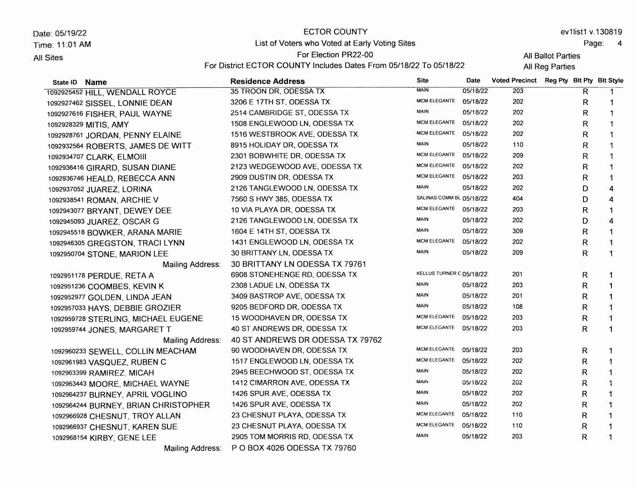Date: 05/19/22 Time: 11:01 AM All Sites State lD Name ECTOR COUNTY List of Voters who Voted at Early Voting Sites For Election PR22-OO For District ECTOR COUNTY Includes Dates From 05/18/22 To 05/18/22 Residence Address Site ev1list1 v.130819 Page: 4 **All Ballot Parties All Reg Parties** Date Voted Precinct Reg Pty Blt Pty Blt Style

| 1092925452 HILL, WENDALL ROYCE       | 35 TROON DR, ODESSA TX           | <b>MAIN</b>              | 05/18/22 | 203 | R            | -1           |
|--------------------------------------|----------------------------------|--------------------------|----------|-----|--------------|--------------|
| 1092927462 SISSEL, LONNIE DEAN       | 3206 E 17TH ST, ODESSA TX        | <b>MCM ELEGANTE</b>      | 05/18/22 | 202 | R            |              |
| 1092927616 FISHER, PAUL WAYNE        | 2514 CAMBRIDGE ST, ODESSA TX     | <b>MAIN</b>              | 05/18/22 | 202 | R            | 1            |
| 1092928329 MITIS, AMY                | 1508 ENGLEWOOD LN, ODESSA TX     | <b>MCM ELEGANTE</b>      | 05/18/22 | 202 | R            | 1            |
| 1092928761 JORDAN, PENNY ELAINE      | 1516 WESTBROOK AVE, ODESSA TX    | <b>MCM ELEGANTE</b>      | 05/18/22 | 202 | R            | 1            |
| 1092932564 ROBERTS, JAMES DE WITT    | 8915 HOLIDAY DR, ODESSA TX       | <b>MAIN</b>              | 05/18/22 | 110 | R            | 1            |
| 1092934707 CLARK, ELMOIII            | 2301 BOBWHITE DR, ODESSA TX      | <b>MCM ELEGANTE</b>      | 05/18/22 | 209 | R            | 1            |
| 1092936416 GIRARD, SUSAN DIANE       | 2123 WEDGEWOOD AVE, ODESSA TX    | <b>MCM ELEGANTE</b>      | 05/18/22 | 202 | R            |              |
| 1092936746 HEALD, REBECCA ANN        | 2909 DUSTIN DR, ODESSA TX        | <b>MCM ELEGANTE</b>      | 05/18/22 | 203 | $\mathsf{R}$ |              |
| 1092937052 JUAREZ, LORINA            | 2126 TANGLEWOOD LN, ODESSA TX    | MAIN                     | 05/18/22 | 202 | D            | 4            |
| 1092938541 ROMAN, ARCHIE V           | 7560 S HWY 385, ODESSA TX        | SALINAS COMM BL 05/18/22 |          | 404 | D            | 4            |
| 1092943077 BRYANT, DEWEY DEE         | 10 VIA PLAYA DR, ODESSA TX       | MCM ELEGANTE 05/18/22    |          | 203 | R            | 1            |
| 1092945093 JUAREZ, OSCAR G           | 2126 TANGLEWOOD LN, ODESSA TX    | <b>MAIN</b>              | 05/18/22 | 202 | D            | 4            |
| 1092945518 BOWKER, ARANA MARIE       | 1604 E 14TH ST, ODESSA TX        | <b>MAIN</b>              | 05/18/22 | 309 | R            | 1            |
| 1092946305 GREGSTON, TRACI LYNN      | 1431 ENGLEWOOD LN, ODESSA TX     | MCM ELEGANTE             | 05/18/22 | 202 | R            | 1            |
| 1092950704 STONE, MARION LEE         | 30 BRITTANY LN, ODESSA TX        | <b>MAIN</b>              | 05/18/22 | 209 | R.           | $\mathbf{1}$ |
| Mailing Address:                     | 30 BRITTANY LN ODESSA TX 79761   |                          |          |     |              |              |
| 1092951178 PERDUE, RETA A            | 6908 STONEHENGE RD, ODESSA TX    | KELLUS TURNER C 05/18/22 |          | 201 | R            |              |
| 1092951236 COOMBES, KEVIN K          | 2308 LADUE LN, ODESSA TX         | <b>MAIN</b>              | 05/18/22 | 203 | R            |              |
| 1092952977 GOLDEN, LINDA JEAN        | 3409 BASTROP AVE, ODESSA TX      | <b>MAIN</b>              | 05/18/22 | 201 | R            |              |
| 1092957033 HAYS, DEBBIE GROZIER      | 9205 BEDFORD DR, ODESSA TX       | <b>MAIN</b>              | 05/18/22 | 108 | R            |              |
| 1092959728 STERLING, MICHAEL EUGENE  | 15 WOODHAVEN DR, ODESSA TX       | MCM ELEGANTE             | 05/18/22 | 203 | R            | 1            |
| 1092959744 JONES, MARGARET T         | 40 ST ANDREWS DR, ODESSA TX      | MCM ELEGANTE 05/18/22    |          | 203 | R            | 1            |
| Mailing Address:                     | 40 ST ANDREWS DR ODESSA TX 79762 |                          |          |     |              |              |
| 1092960233 SEWELL, COLLIN MEACHAM    | 90 WOODHAVEN DR, ODESSA TX       | MCM ELEGANTE 05/18/22    |          | 203 | R            | 1            |
| 1092961983 VASQUEZ, RUBEN C          | 1517 ENGLEWOOD LN, ODESSA TX     | <b>MCM ELEGANTE</b>      | 05/18/22 | 202 | R            | 1            |
| 1092963399 RAMIREZ, MICAH            | 2945 BEECHWOOD ST, ODESSA TX     | <b>MAIN</b>              | 05/18/22 | 202 | R            | 1            |
| 1092963443 MOORE, MICHAEL WAYNE      | 1412 CIMARRON AVE, ODESSA TX     | <b>MAIN</b>              | 05/18/22 | 202 | R            | 1            |
| 1092964237 BURNEY, APRIL VOGLINO     | 1426 SPUR AVE, ODESSA TX         | <b>MAIN</b>              | 05/18/22 | 202 | R            | 1            |
| 1092964244 BURNEY, BRIAN CHRISTOPHER | 1426 SPUR AVE, ODESSA TX         | <b>MAIN</b>              | 05/18/22 | 202 | R            |              |
| 1092966928 CHESNUT, TROY ALLAN       | 23 CHESNUT PLAYA, ODESSA TX      | <b>MCM ELEGANTE</b>      | 05/18/22 | 110 | R            | 1            |
| 1092966937 CHESNUT, KAREN SUE        | 23 CHESNUT PLAYA, ODESSA TX      | <b>MCM ELEGANTE</b>      | 05/18/22 | 110 | R            |              |
| 1092968154 KIRBY, GENE LEE           | 2905 TOM MORRIS RD, ODESSA TX    | MAIN                     | 05/18/22 | 203 | R            |              |
| Mailing Address:                     | P O BOX 4026 ODESSA TX 79760     |                          |          |     |              |              |
|                                      |                                  |                          |          |     |              |              |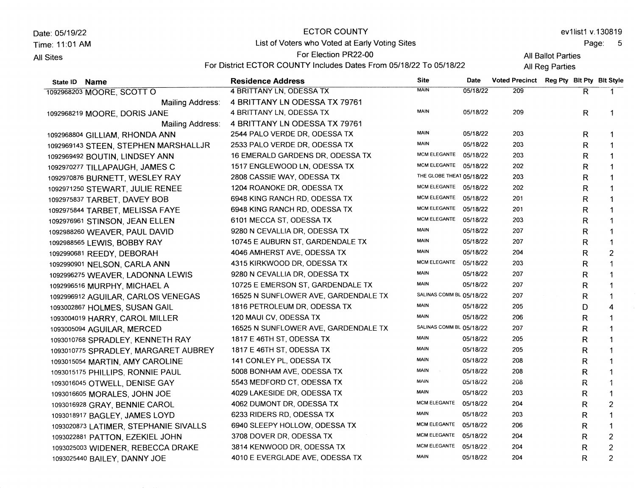Date: 05119122 Time. 11:01 AM

**All Sites** 

# ECTOR COUNTY List of Voters who Voted at Early Voting Sites

ev1list1 v.130819

Page: <sup>5</sup>

## For Election PR22-00

All Ballot Parties All Reg Parties

For District ECTOR COUNTY Includes Dates From 05/18/22 To 05/18/22

| State ID Name                         | <b>Residence Address</b>             | <b>Site</b>              | Date     | Voted Precinct Reg Pty Blt Pty Blt Style |    |                |
|---------------------------------------|--------------------------------------|--------------------------|----------|------------------------------------------|----|----------------|
| 1092968203 MOORE, SCOTT O             | 4 BRITTANY LN, ODESSA TX             | <b>MAIN</b>              | 05/18/22 | 209                                      | R. | 1.             |
| Mailing Address:                      | 4 BRITTANY LN ODESSA TX 79761        |                          |          |                                          |    |                |
| 1092968219 MOORE, DORIS JANE          | 4 BRITTANY LN, ODESSA TX             | <b>MAIN</b>              | 05/18/22 | 209                                      | R  | $\mathbf 1$    |
| Mailing Address:                      | 4 BRITTANY LN ODESSA TX 79761        |                          |          |                                          |    |                |
| 1092968804 GILLIAM, RHONDA ANN        | 2544 PALO VERDE DR, ODESSA TX        | <b>MAIN</b>              | 05/18/22 | 203                                      | R  | $\mathbf 1$    |
| 1092969143 STEEN, STEPHEN MARSHALLJR  | 2533 PALO VERDE DR, ODESSA TX        | MAIN                     | 05/18/22 | 203                                      | R  | 1              |
| 1092969492 BOUTIN, LINDSEY ANN        | 16 EMERALD GARDENS DR, ODESSA TX     | MCM ELEGANTE 05/18/22    |          | 203                                      | R  | 1              |
| 1092970277 TILLAPAUGH, JAMES C        | 1517 ENGLEWOOD LN, ODESSA TX         | MCM ELEGANTE 05/18/22    |          | 202                                      | R  | $\mathbf 1$    |
| 1092970876 BURNETT, WESLEY RAY        | 2808 CASSIE WAY, ODESSA TX           | THE GLOBE THEAT 05/18/22 |          | 203                                      | R  | $\mathbf 1$    |
| 1092971250 STEWART, JULIE RENEE       | 1204 ROANOKE DR, ODESSA TX           | MCM ELEGANTE 05/18/22    |          | 202                                      | R  | 1              |
| 1092975837 TARBET, DAVEY BOB          | 6948 KING RANCH RD, ODESSA TX        | <b>MCM ELEGANTE</b>      | 05/18/22 | 201                                      | R  | 1              |
| 1092975844 TARBET, MELISSA FAYE       | 6948 KING RANCH RD, ODESSA TX        | MCM ELEGANTE 05/18/22    |          | 201                                      | R  | 1              |
| 1092976961 STINSON, JEAN ELLEN        | 6101 MECCA ST, ODESSA TX             | MCM ELEGANTE 05/18/22    |          | 203                                      | R  | 1              |
| 1092988260 WEAVER, PAUL DAVID         | 9280 N CEVALLIA DR, ODESSA TX        | <b>MAIN</b>              | 05/18/22 | 207                                      | R  | 1              |
| 1092988565 LEWIS, BOBBY RAY           | 10745 E AUBURN ST, GARDENDALE TX     | <b>MAIN</b>              | 05/18/22 | 207                                      | R  | 1              |
| 1092990681 REEDY, DEBORAH             | 4046 AMHERST AVE, ODESSA TX          | <b>MAIN</b>              | 05/18/22 | 204                                      | R  | $\overline{2}$ |
| 1092990901 NELSON, CARLA ANN          | 4315 KIRKWOOD DR, ODESSA TX          | MCM ELEGANTE             | 05/18/22 | 203                                      | R  | 1              |
| 1092996275 WEAVER, LADONNA LEWIS      | 9280 N CEVALLIA DR, ODESSA TX        | MAIN                     | 05/18/22 | 207                                      | R  | 1              |
| 1092996516 MURPHY, MICHAEL A          | 10725 E EMERSON ST, GARDENDALE TX    | <b>MAIN</b>              | 05/18/22 | 207                                      | R  | -1             |
| 1092996912 AGUILAR, CARLOS VENEGAS    | 16525 N SUNFLOWER AVE, GARDENDALE TX | SALINAS COMM BL 05/18/22 |          | 207                                      | R  | 1              |
| 1093002867 HOLMES, SUSAN GAIL         | 1816 PETROLEUM DR, ODESSA TX         | <b>MAIN</b>              | 05/18/22 | 205                                      | D  | 4              |
| 1093004019 HARRY, CAROL MILLER        | 120 MAUI CV, ODESSA TX               | <b>MAIN</b>              | 05/18/22 | 206                                      | R  | $\mathbf 1$    |
| 1093005094 AGUILAR, MERCED            | 16525 N SUNFLOWER AVE, GARDENDALE TX | SALINAS COMM BL 05/18/22 |          | 207                                      | R  |                |
| 1093010768 SPRADLEY, KENNETH RAY      | 1817 E 46TH ST, ODESSA TX            | <b>MAIN</b>              | 05/18/22 | 205                                      | R  | 1              |
| 1093010775 SPRADLEY, MARGARET AUBREY  | 1817 E 46TH ST, ODESSA TX            | <b>MAIN</b>              | 05/18/22 | 205                                      | R  | $\mathbf{1}$   |
| 1093015054 MARTIN, AMY CAROLINE       | 141 CONLEY PL, ODESSA TX             | <b>MAIN</b>              | 05/18/22 | 208                                      | R  | $\mathbf 1$    |
| 1093015175 PHILLIPS, RONNIE PAUL      | 5008 BONHAM AVE, ODESSA TX           | <b>MAIN</b>              | 05/18/22 | 208                                      | R  | $\mathbf{1}$   |
| 1093016045 OTWELL, DENISE GAY         | 5543 MEDFORD CT, ODESSA TX           | MAIN                     | 05/18/22 | 208                                      | R  | 1              |
| 1093016605 MORALES, JOHN JOE          | 4029 LAKESIDE DR, ODESSA TX          | <b>MAIN</b>              | 05/18/22 | 203                                      | R  | 1              |
| 1093016928 GRAY, BENNIE CAROL         | 4062 DUMONT DR, ODESSA TX            | MCM ELEGANTE             | 05/18/22 | 204                                      | R  | $\overline{2}$ |
| 1093018917 BAGLEY, JAMES LOYD         | 6233 RIDERS RD, ODESSA TX            | <b>MAIN</b>              | 05/18/22 | 203                                      | R  | 1              |
| 1093020873 LATIMER, STEPHANIE SIVALLS | 6940 SLEEPY HOLLOW, ODESSA TX        | <b>MCM ELEGANTE</b>      | 05/18/22 | 206                                      | R  | 1              |
| 1093022881 PATTON, EZEKIEL JOHN       | 3708 DOVER DR, ODESSA TX             | MCM ELEGANTE 05/18/22    |          | 204                                      | R  | $\overline{2}$ |
| 1093025003 WIDENER, REBECCA DRAKE     | 3814 KENWOOD DR, ODESSA TX           | <b>MCM ELEGANTE</b>      | 05/18/22 | 204                                      | R  | $\overline{2}$ |
| 1093025440 BAILEY, DANNY JOE          | 4010 E EVERGLADE AVE, ODESSA TX      | <b>MAIN</b>              | 05/18/22 | 204                                      | R  | $\overline{c}$ |